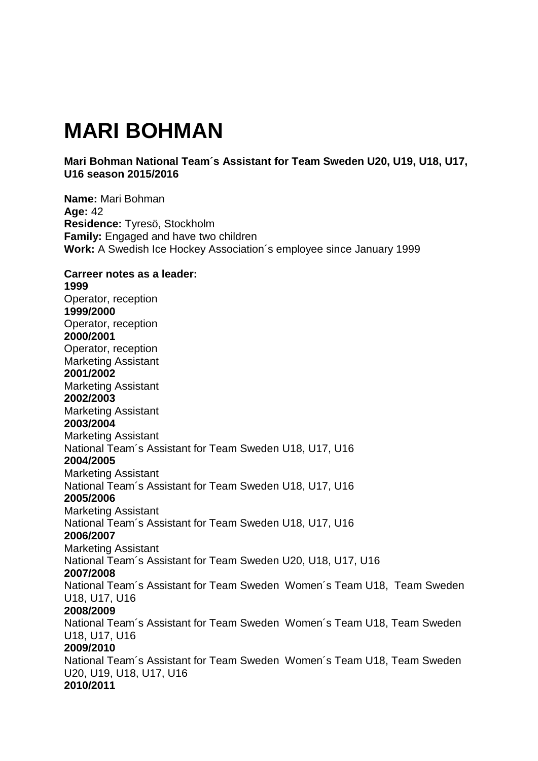## **MARI BOHMAN**

## **Mari Bohman National Team´s Assistant for Team Sweden U20, U19, U18, U17, U16 season 2015/2016**

**Name:** Mari Bohman **Age:** 42 **Residence:** Tyresö, Stockholm **Family:** Engaged and have two children **Work:** A Swedish Ice Hockey Association´s employee since January 1999 **Carreer notes as a leader: 1999** Operator, reception **1999/2000** Operator, reception **2000/2001** Operator, reception Marketing Assistant **2001/2002** Marketing Assistant **2002/2003** Marketing Assistant **2003/2004** Marketing Assistant National Team´s Assistant for Team Sweden U18, U17, U16 **2004/2005** Marketing Assistant National Team´s Assistant for Team Sweden U18, U17, U16 **2005/2006** Marketing Assistant National Team´s Assistant for Team Sweden U18, U17, U16 **2006/2007**  Marketing Assistant National Team´s Assistant for Team Sweden U20, U18, U17, U16 **2007/2008**  National Team´s Assistant for Team Sweden Women´s Team U18, Team Sweden U18, U17, U16 **2008/2009**  National Team´s Assistant for Team Sweden Women´s Team U18, Team Sweden U18, U17, U16 **2009/2010** National Team´s Assistant for Team Sweden Women´s Team U18, Team Sweden U20, U19, U18, U17, U16 **2010/2011**